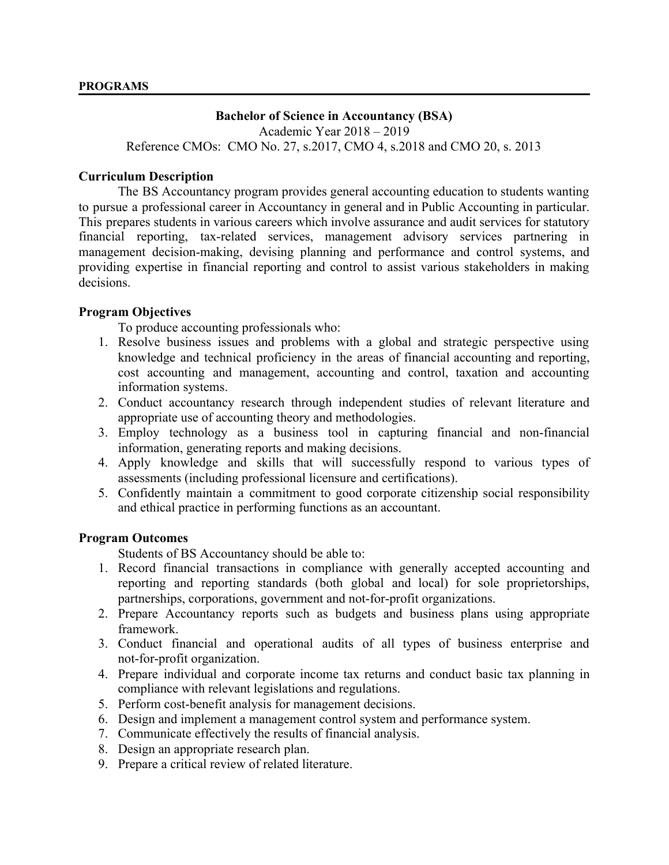## **Bachelor of Science in Accountancy (BSA)**

Academic Year 2018 – 2019 Reference CMOs: CMO No. 27, s.2017, CMO 4, s.2018 and CMO 20, s. 2013

#### **Curriculum Description**

The BS Accountancy program provides general accounting education to students wanting to pursue a professional career in Accountancy in general and in Public Accounting in particular. This prepares students in various careers which involve assurance and audit services for statutory financial reporting, tax-related services, management advisory services partnering in management decision-making, devising planning and performance and control systems, and providing expertise in financial reporting and control to assist various stakeholders in making decisions.

#### **Program Objectives**

To produce accounting professionals who:

- 1. Resolve business issues and problems with a global and strategic perspective using knowledge and technical proficiency in the areas of financial accounting and reporting, cost accounting and management, accounting and control, taxation and accounting information systems.
- 2. Conduct accountancy research through independent studies of relevant literature and appropriate use of accounting theory and methodologies.
- 3. Employ technology as a business tool in capturing financial and non-financial information, generating reports and making decisions.
- 4. Apply knowledge and skills that will successfully respond to various types of assessments (including professional licensure and certifications).
- 5. Confidently maintain a commitment to good corporate citizenship social responsibility and ethical practice in performing functions as an accountant.

## **Program Outcomes**

Students of BS Accountancy should be able to:

- 1. Record financial transactions in compliance with generally accepted accounting and reporting and reporting standards (both global and local) for sole proprietorships, partnerships, corporations, government and not-for-profit organizations.
- 2. Prepare Accountancy reports such as budgets and business plans using appropriate framework.
- 3. Conduct financial and operational audits of all types of business enterprise and not-for-profit organization.
- 4. Prepare individual and corporate income tax returns and conduct basic tax planning in compliance with relevant legislations and regulations.
- 5. Perform cost-benefit analysis for management decisions.
- 6. Design and implement a management control system and performance system.
- 7. Communicate effectively the results of financial analysis.
- 8. Design an appropriate research plan.
- 9. Prepare a critical review of related literature.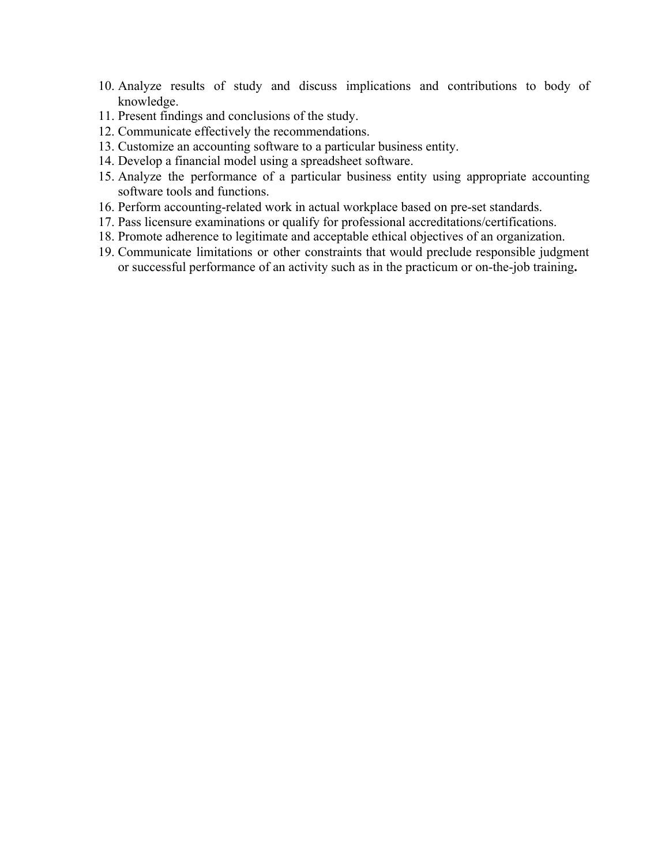- 10. Analyze results of study and discuss implications and contributions to body of knowledge.
- 11. Present findings and conclusions of the study.
- 12. Communicate effectively the recommendations.
- 13. Customize an accounting software to a particular business entity.
- 14. Develop a financial model using a spreadsheet software.
- 15. Analyze the performance of a particular business entity using appropriate accounting software tools and functions.
- 16. Perform accounting-related work in actual workplace based on pre-set standards.
- 17. Pass licensure examinations or qualify for professional accreditations/certifications.
- 18. Promote adherence to legitimate and acceptable ethical objectives of an organization.
- 19. Communicate limitations or other constraints that would preclude responsible judgment or successful performance of an activity such as in the practicum or on-the-job training**.**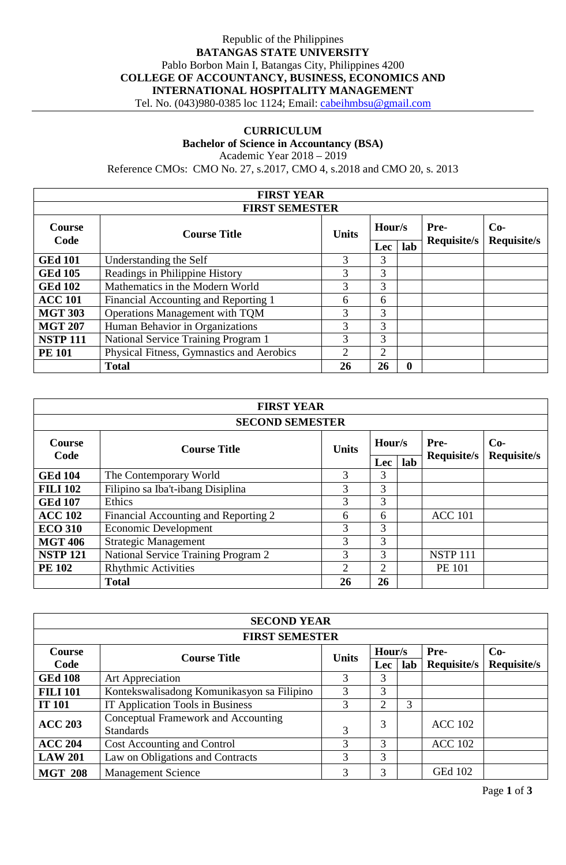# Republic of the Philippines **BATANGAS STATE UNIVERSITY** Pablo Borbon Main I, Batangas City, Philippines 4200 **COLLEGE OF ACCOUNTANCY, BUSINESS, ECONOMICS AND INTERNATIONAL HOSPITALITY MANAGEMENT**

Tel. No. (043)980-0385 loc 1124; Email: [cabeihmbsu@gmail.com](mailto:cabeihmbsu@gmail.com)

# **CURRICULUM**

**Bachelor of Science in Accountancy (BSA)**

Academic Year 2018 – 2019

Reference CMOs: CMO No. 27, s.2017, CMO 4, s.2018 and CMO 20, s. 2013

| <b>FIRST YEAR</b>     |                                           |              |        |             |                    |                    |  |  |
|-----------------------|-------------------------------------------|--------------|--------|-------------|--------------------|--------------------|--|--|
| <b>FIRST SEMESTER</b> |                                           |              |        |             |                    |                    |  |  |
| <b>Course</b>         | <b>Course Title</b>                       | <b>Units</b> | Hour/s |             | Pre-               | $Co-$              |  |  |
| Code                  |                                           |              | Lec    | lab         | <b>Requisite/s</b> | <b>Requisite/s</b> |  |  |
| <b>GEd 101</b>        | Understanding the Self                    | 3            | 3      |             |                    |                    |  |  |
| <b>GEd 105</b>        | Readings in Philippine History            | 3            | 3      |             |                    |                    |  |  |
| <b>GEd 102</b>        | Mathematics in the Modern World           | 3            | 3      |             |                    |                    |  |  |
| <b>ACC 101</b>        | Financial Accounting and Reporting 1      | 6            | 6      |             |                    |                    |  |  |
| <b>MGT 303</b>        | Operations Management with TQM            | 3            | 3      |             |                    |                    |  |  |
| <b>MGT 207</b>        | Human Behavior in Organizations           | 3            | 3      |             |                    |                    |  |  |
| <b>NSTP 111</b>       | National Service Training Program 1       | 3            | 3      |             |                    |                    |  |  |
| <b>PE 101</b>         | Physical Fitness, Gymnastics and Aerobics | 2            | 2      |             |                    |                    |  |  |
|                       | <b>Total</b>                              | 26           | 26     | $\mathbf 0$ |                    |                    |  |  |

|                 | <b>FIRST YEAR</b>                    |              |        |     |                    |             |  |  |  |
|-----------------|--------------------------------------|--------------|--------|-----|--------------------|-------------|--|--|--|
|                 | <b>SECOND SEMESTER</b>               |              |        |     |                    |             |  |  |  |
| <b>Course</b>   | <b>Course Title</b>                  | <b>Units</b> | Hour/s |     | Pre-               | $Co-$       |  |  |  |
| Code            |                                      |              | Lec    | lab | <b>Requisite/s</b> | Requisite/s |  |  |  |
| <b>GEd 104</b>  | The Contemporary World               | 3            | 3      |     |                    |             |  |  |  |
| <b>FILI 102</b> | Filipino sa Iba't-ibang Disiplina    | 3            | 3      |     |                    |             |  |  |  |
| <b>GEd 107</b>  | Ethics                               | 3            | 3      |     |                    |             |  |  |  |
| <b>ACC 102</b>  | Financial Accounting and Reporting 2 | 6            | 6      |     | <b>ACC 101</b>     |             |  |  |  |
| <b>ECO 310</b>  | <b>Economic Development</b>          | 3            | 3      |     |                    |             |  |  |  |
| <b>MGT 406</b>  | <b>Strategic Management</b>          | 3            | 3      |     |                    |             |  |  |  |
| <b>NSTP 121</b> | National Service Training Program 2  | 3            | 3      |     | <b>NSTP 111</b>    |             |  |  |  |
| <b>PE 102</b>   | <b>Rhythmic Activities</b>           | 2            | 2      |     | <b>PE 101</b>      |             |  |  |  |
|                 | <b>Total</b>                         | 26           | 26     |     |                    |             |  |  |  |

| <b>SECOND YEAR</b>    |                                                         |              |        |     |                    |                    |  |  |
|-----------------------|---------------------------------------------------------|--------------|--------|-----|--------------------|--------------------|--|--|
| <b>FIRST SEMESTER</b> |                                                         |              |        |     |                    |                    |  |  |
| <b>Course</b>         | <b>Course Title</b>                                     | <b>Units</b> | Hour/s |     | Pre-               | $Co-$              |  |  |
| Code                  |                                                         |              | Let    | lab | <b>Requisite/s</b> | <b>Requisite/s</b> |  |  |
| <b>GEd 108</b>        | Art Appreciation                                        | 3            | 3      |     |                    |                    |  |  |
| <b>FILI 101</b>       | Kontekswalisadong Komunikasyon sa Filipino              | 3            | 3      |     |                    |                    |  |  |
| <b>IT 101</b>         | IT Application Tools in Business                        | 3            | 2      | 3   |                    |                    |  |  |
| <b>ACC 203</b>        | Conceptual Framework and Accounting<br><b>Standards</b> | 3            | 3      |     | <b>ACC</b> 102     |                    |  |  |
| <b>ACC 204</b>        | Cost Accounting and Control                             | 3            | 3      |     | <b>ACC</b> 102     |                    |  |  |
| <b>LAW 201</b>        | Law on Obligations and Contracts                        | 3            | 3      |     |                    |                    |  |  |
| <b>MGT 208</b>        | <b>Management Science</b>                               | 3            | 3      |     | <b>GEd 102</b>     |                    |  |  |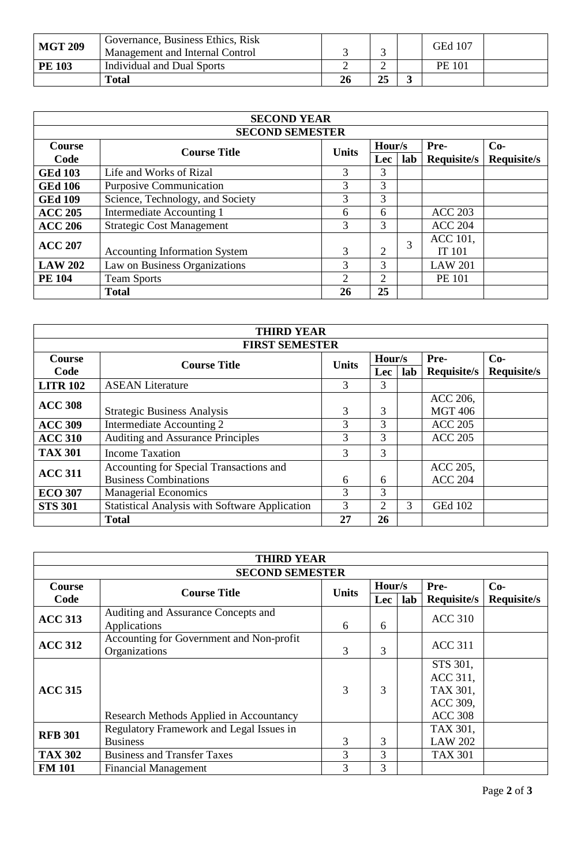| <b>MGT 209</b> | Governance, Business Ethics, Risk<br>Management and Internal Control |    | <b>GEd 107</b> |  |
|----------------|----------------------------------------------------------------------|----|----------------|--|
| <b>PE 103</b>  | Individual and Dual Sports                                           |    | <b>PE 101</b>  |  |
|                | Total                                                                | 25 |                |  |

|                        | <b>SECOND YEAR</b>                   |                             |            |     |                    |                    |  |  |
|------------------------|--------------------------------------|-----------------------------|------------|-----|--------------------|--------------------|--|--|
| <b>SECOND SEMESTER</b> |                                      |                             |            |     |                    |                    |  |  |
| <b>Course</b>          | <b>Course Title</b>                  | <b>Units</b>                | Hour/s     |     | Pre-               | $Co-$              |  |  |
| Code                   |                                      |                             | <b>Lec</b> | lab | <b>Requisite/s</b> | <b>Requisite/s</b> |  |  |
| <b>GEd 103</b>         | Life and Works of Rizal              | 3                           | 3          |     |                    |                    |  |  |
| <b>GEd 106</b>         | <b>Purposive Communication</b>       | 3                           | 3          |     |                    |                    |  |  |
| <b>GEd 109</b>         | Science, Technology, and Society     | 3                           | 3          |     |                    |                    |  |  |
| <b>ACC 205</b>         | Intermediate Accounting 1            | 6                           | 6          |     | <b>ACC 203</b>     |                    |  |  |
| <b>ACC 206</b>         | <b>Strategic Cost Management</b>     | 3                           | 3          |     | <b>ACC 204</b>     |                    |  |  |
| <b>ACC 207</b>         |                                      |                             |            | 3   | <b>ACC</b> 101,    |                    |  |  |
|                        | <b>Accounting Information System</b> | 3                           | 2          |     | <b>IT 101</b>      |                    |  |  |
| <b>LAW 202</b>         | Law on Business Organizations        | 3                           | 3          |     | <b>LAW 201</b>     |                    |  |  |
| <b>PE 104</b>          | <b>Team Sports</b>                   | $\mathcal{D}_{\mathcal{L}}$ | 2          |     | <b>PE 101</b>      |                    |  |  |
|                        | <b>Total</b>                         | 26                          | 25         |     |                    |                    |  |  |

|                 | <b>THIRD YEAR</b>                                     |              |        |     |                    |                    |  |  |  |
|-----------------|-------------------------------------------------------|--------------|--------|-----|--------------------|--------------------|--|--|--|
|                 | <b>FIRST SEMESTER</b>                                 |              |        |     |                    |                    |  |  |  |
| <b>Course</b>   |                                                       | <b>Units</b> | Hour/s |     | Pre-               | $Co-$              |  |  |  |
| Code            | <b>Course Title</b>                                   |              | Lec    | lab | <b>Requisite/s</b> | <b>Requisite/s</b> |  |  |  |
| <b>LITR 102</b> | <b>ASEAN Literature</b>                               | 3            | 3      |     |                    |                    |  |  |  |
| <b>ACC 308</b>  |                                                       |              |        |     | ACC 206,           |                    |  |  |  |
|                 | <b>Strategic Business Analysis</b>                    | 3            | 3      |     | <b>MGT 406</b>     |                    |  |  |  |
| <b>ACC 309</b>  | Intermediate Accounting 2                             | 3            | 3      |     | <b>ACC 205</b>     |                    |  |  |  |
| <b>ACC 310</b>  | <b>Auditing and Assurance Principles</b>              | 3            | 3      |     | <b>ACC 205</b>     |                    |  |  |  |
| <b>TAX 301</b>  | <b>Income Taxation</b>                                | 3            | 3      |     |                    |                    |  |  |  |
| <b>ACC 311</b>  | Accounting for Special Transactions and               |              |        |     | ACC 205,           |                    |  |  |  |
|                 | <b>Business Combinations</b>                          | 6            | 6      |     | <b>ACC 204</b>     |                    |  |  |  |
| <b>ECO 307</b>  | <b>Managerial Economics</b>                           | 3            | 3      |     |                    |                    |  |  |  |
| <b>STS 301</b>  | <b>Statistical Analysis with Software Application</b> | 3            | 2      | 3   | <b>GEd 102</b>     |                    |  |  |  |
|                 | <b>Total</b>                                          | 27           | 26     |     |                    |                    |  |  |  |

| <b>THIRD YEAR</b>      |                                          |              |        |     |                    |                    |  |  |
|------------------------|------------------------------------------|--------------|--------|-----|--------------------|--------------------|--|--|
| <b>SECOND SEMESTER</b> |                                          |              |        |     |                    |                    |  |  |
| <b>Course</b>          | <b>Course Title</b>                      | <b>Units</b> | Hour/s |     | Pre-               | $Co-$              |  |  |
| Code                   |                                          |              | Lec    | lab | <b>Requisite/s</b> | <b>Requisite/s</b> |  |  |
| <b>ACC 313</b>         | Auditing and Assurance Concepts and      |              |        |     | <b>ACC 310</b>     |                    |  |  |
|                        | Applications                             | 6            | 6      |     |                    |                    |  |  |
| <b>ACC 312</b>         | Accounting for Government and Non-profit |              |        |     | <b>ACC 311</b>     |                    |  |  |
|                        | Organizations                            | 3            | 3      |     |                    |                    |  |  |
|                        |                                          |              |        |     | STS 301,           |                    |  |  |
|                        |                                          |              |        |     | ACC 311,           |                    |  |  |
| <b>ACC 315</b>         |                                          | 3            | 3      |     | TAX 301,           |                    |  |  |
|                        |                                          |              |        |     | ACC 309,           |                    |  |  |
|                        | Research Methods Applied in Accountancy  |              |        |     | <b>ACC 308</b>     |                    |  |  |
| <b>RFB 301</b>         | Regulatory Framework and Legal Issues in |              |        |     | TAX 301,           |                    |  |  |
|                        | <b>Business</b>                          | 3            | 3      |     | <b>LAW 202</b>     |                    |  |  |
| <b>TAX 302</b>         | <b>Business and Transfer Taxes</b>       | 3            | 3      |     | <b>TAX 301</b>     |                    |  |  |
| <b>FM 101</b>          | <b>Financial Management</b>              | 3            | 3      |     |                    |                    |  |  |